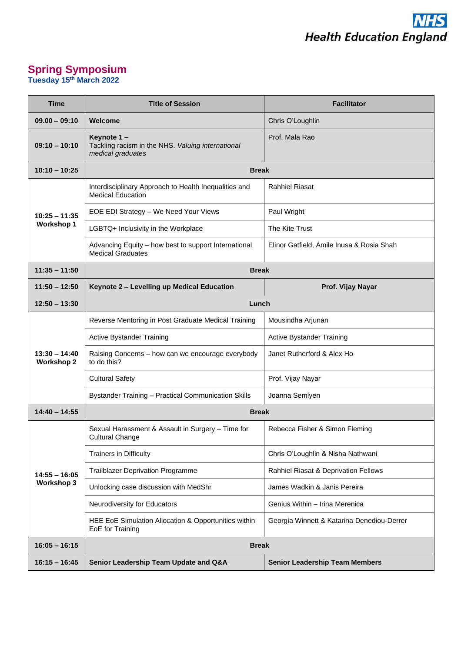## **Spring Symposium Tuesday 15th March 2022**

| Time                                 | <b>Title of Session</b>                                                              | <b>Facilitator</b>                         |
|--------------------------------------|--------------------------------------------------------------------------------------|--------------------------------------------|
| $09.00 - 09:10$                      | Welcome                                                                              | Chris O'Loughlin                           |
| $09:10 - 10:10$                      | Keynote 1-<br>Tackling racism in the NHS. Valuing international<br>medical graduates | Prof. Mala Rao                             |
| $10:10 - 10:25$                      | <b>Break</b>                                                                         |                                            |
| $10:25 - 11:35$<br><b>Workshop 1</b> | Interdisciplinary Approach to Health Inequalities and<br><b>Medical Education</b>    | <b>Rahhiel Riasat</b>                      |
|                                      | EOE EDI Strategy - We Need Your Views                                                | Paul Wright                                |
|                                      | LGBTQ+ Inclusivity in the Workplace                                                  | The Kite Trust                             |
|                                      | Advancing Equity - how best to support International<br><b>Medical Graduates</b>     | Elinor Gatfield, Amile Inusa & Rosia Shah  |
| $11:35 - 11:50$                      | <b>Break</b>                                                                         |                                            |
| 11:50 - 12:50                        | Keynote 2 - Levelling up Medical Education                                           | Prof. Vijay Nayar                          |
| $12:50 - 13:30$                      | Lunch                                                                                |                                            |
| $13:30 - 14:40$<br><b>Workshop 2</b> | Reverse Mentoring in Post Graduate Medical Training                                  | Mousindha Arjunan                          |
|                                      | <b>Active Bystander Training</b>                                                     | <b>Active Bystander Training</b>           |
|                                      | Raising Concerns - how can we encourage everybody<br>to do this?                     | Janet Rutherford & Alex Ho                 |
|                                      | <b>Cultural Safety</b>                                                               | Prof. Vijay Nayar                          |
|                                      | <b>Bystander Training - Practical Communication Skills</b>                           | Joanna Semlyen                             |
| $14:40 - 14:55$                      | <b>Break</b>                                                                         |                                            |
| $14:55 - 16:05$<br><b>Workshop 3</b> | Sexual Harassment & Assault in Surgery - Time for<br><b>Cultural Change</b>          | Rebecca Fisher & Simon Fleming             |
|                                      | <b>Trainers in Difficulty</b>                                                        | Chris O'Loughlin & Nisha Nathwani          |
|                                      | <b>Trailblazer Deprivation Programme</b>                                             | Rahhiel Riasat & Deprivation Fellows       |
|                                      | Unlocking case discussion with MedShr                                                | James Wadkin & Janis Pereira               |
|                                      | Neurodiversity for Educators                                                         | Genius Within - Irina Merenica             |
|                                      | HEE EoE Simulation Allocation & Opportunities within<br>EoE for Training             | Georgia Winnett & Katarina Denediou-Derrer |
| $16:05 - 16:15$                      | <b>Break</b>                                                                         |                                            |
| $16:15 - 16:45$                      | Senior Leadership Team Update and Q&A                                                | <b>Senior Leadership Team Members</b>      |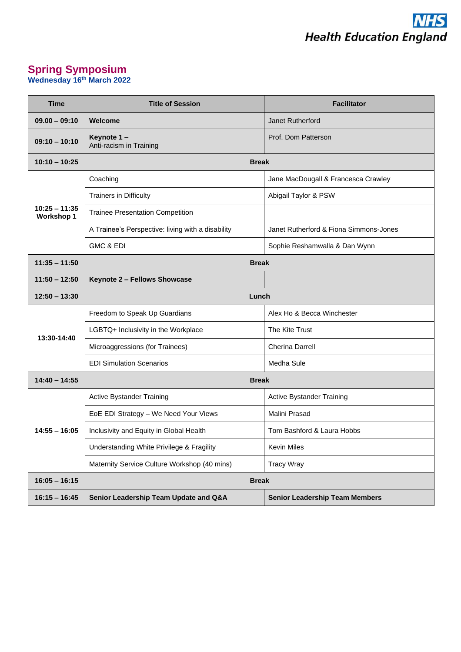

## **Spring Symposium Wednesday 16th March 2022**

| <b>Time</b>                          | <b>Title of Session</b>                           | <b>Facilitator</b>                     |
|--------------------------------------|---------------------------------------------------|----------------------------------------|
| $09.00 - 09:10$                      | Welcome                                           | Janet Rutherford                       |
| $09:10 - 10:10$                      | Keynote 1-<br>Anti-racism in Training             | Prof. Dom Patterson                    |
| $10:10 - 10:25$                      | <b>Break</b>                                      |                                        |
| $10:25 - 11:35$<br><b>Workshop 1</b> | Coaching                                          | Jane MacDougall & Francesca Crawley    |
|                                      | <b>Trainers in Difficulty</b>                     | Abigail Taylor & PSW                   |
|                                      | <b>Trainee Presentation Competition</b>           |                                        |
|                                      | A Trainee's Perspective: living with a disability | Janet Rutherford & Fiona Simmons-Jones |
|                                      | GMC & EDI                                         | Sophie Reshamwalla & Dan Wynn          |
| $11:35 - 11:50$                      | <b>Break</b>                                      |                                        |
| $11:50 - 12:50$                      | Keynote 2 - Fellows Showcase                      |                                        |
| $12:50 - 13:30$                      | Lunch                                             |                                        |
| 13:30-14:40                          | Freedom to Speak Up Guardians                     | Alex Ho & Becca Winchester             |
|                                      | LGBTQ+ Inclusivity in the Workplace               | The Kite Trust                         |
|                                      | Microaggressions (for Trainees)                   | <b>Cherina Darrell</b>                 |
|                                      | <b>EDI Simulation Scenarios</b>                   | Medha Sule                             |
| $14:40 - 14:55$                      | <b>Break</b>                                      |                                        |
| $14:55 - 16:05$                      | Active Bystander Training                         | Active Bystander Training              |
|                                      | EoE EDI Strategy - We Need Your Views             | Malini Prasad                          |
|                                      | Inclusivity and Equity in Global Health           | Tom Bashford & Laura Hobbs             |
|                                      | Understanding White Privilege & Fragility         | Kevin Miles                            |
|                                      | Maternity Service Culture Workshop (40 mins)      | <b>Tracy Wray</b>                      |
| $16:05 - 16:15$                      | <b>Break</b>                                      |                                        |
| $16:15 - 16:45$                      | Senior Leadership Team Update and Q&A             | <b>Senior Leadership Team Members</b>  |